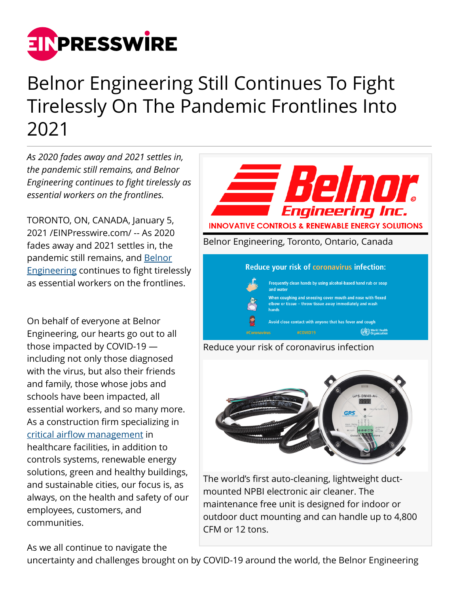

## Belnor Engineering Still Continues To Fight Tirelessly On The Pandemic Frontlines Into 2021

*As 2020 fades away and 2021 settles in, the pandemic still remains, and Belnor Engineering continues to fight tirelessly as essential workers on the frontlines.*

TORONTO, ON, CANADA, January 5, 2021 /[EINPresswire.com](http://www.einpresswire.com)/ -- As 2020 fades away and 2021 settles in, the pandemic still remains, and [Belnor](http://belnor.com) [Engineering](http://belnor.com) continues to fight tirelessly as essential workers on the frontlines.

On behalf of everyone at Belnor Engineering, our hearts go out to all those impacted by COVID-19 including not only those diagnosed with the virus, but also their friends and family, those whose jobs and schools have been impacted, all essential workers, and so many more. As a construction firm specializing in [critical airflow management](https://www.belnor.com/services) in healthcare facilities, in addition to controls systems, renewable energy solutions, green and healthy buildings, and sustainable cities, our focus is, as always, on the health and safety of our employees, customers, and communities.

As we all continue to navigate the





The world's first auto-cleaning, lightweight ductmounted NPBI electronic air cleaner. The maintenance free unit is designed for indoor or outdoor duct mounting and can handle up to 4,800 CFM or 12 tons.

uncertainty and challenges brought on by COVID-19 around the world, the Belnor Engineering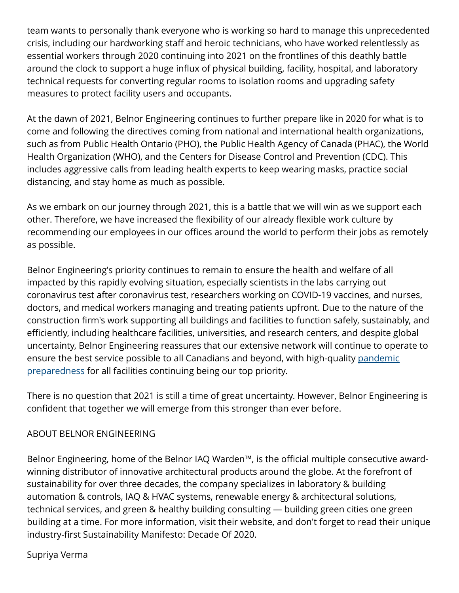team wants to personally thank everyone who is working so hard to manage this unprecedented crisis, including our hardworking staff and heroic technicians, who have worked relentlessly as essential workers through 2020 continuing into 2021 on the frontlines of this deathly battle around the clock to support a huge influx of physical building, facility, hospital, and laboratory technical requests for converting regular rooms to isolation rooms and upgrading safety measures to protect facility users and occupants.

At the dawn of 2021, Belnor Engineering continues to further prepare like in 2020 for what is to come and following the directives coming from national and international health organizations, such as from Public Health Ontario (PHO), the Public Health Agency of Canada (PHAC), the World Health Organization (WHO), and the Centers for Disease Control and Prevention (CDC). This includes aggressive calls from leading health experts to keep wearing masks, practice social distancing, and stay home as much as possible.

As we embark on our journey through 2021, this is a battle that we will win as we support each other. Therefore, we have increased the flexibility of our already flexible work culture by recommending our employees in our offices around the world to perform their jobs as remotely as possible.

Belnor Engineering's priority continues to remain to ensure the health and welfare of all impacted by this rapidly evolving situation, especially scientists in the labs carrying out coronavirus test after coronavirus test, researchers working on COVID-19 vaccines, and nurses, doctors, and medical workers managing and treating patients upfront. Due to the nature of the construction firm's work supporting all buildings and facilities to function safely, sustainably, and efficiently, including healthcare facilities, universities, and research centers, and despite global uncertainty, Belnor Engineering reassures that our extensive network will continue to operate to ensure the best service possible to all Canadians and beyond, with high-quality [pandemic](http://www.belnor.com/pandemic-response) [preparedness](http://www.belnor.com/pandemic-response) for all facilities continuing being our top priority.

There is no question that 2021 is still a time of great uncertainty. However, Belnor Engineering is confident that together we will emerge from this stronger than ever before.

## ABOUT BELNOR ENGINEERING

Belnor Engineering, home of the Belnor IAQ Warden™, is the official multiple consecutive awardwinning distributor of innovative architectural products around the globe. At the forefront of sustainability for over three decades, the company specializes in laboratory & building automation & controls, IAQ & HVAC systems, renewable energy & architectural solutions, technical services, and green & healthy building consulting — building green cities one green building at a time. For more information, visit their website, and don't forget to read their unique industry-first Sustainability Manifesto: Decade Of 2020.

## Supriya Verma